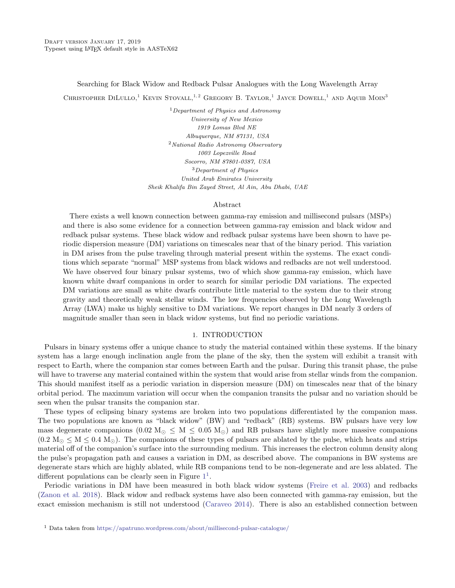Searching for Black Widow and Redback Pulsar Analogues with the Long Wavelength Array

CHRISTOPHER DILULLO,<sup>1</sup> KEVIN STOVALL,<sup>1,2</sup> GREGORY B. TAYLOR,<sup>1</sup> JAYCE DOWELL,<sup>1</sup> AND AQUIB MOIN<sup>3</sup>

 $1$ Department of Physics and Astronomy University of New Mexico 1919 Lomas Blvd NE Albuquerque, NM 87131, USA <sup>2</sup>National Radio Astronomy Observatory 1003 Lopezville Road Socorro, NM 87801-0387, USA <sup>3</sup>Department of Physics United Arab Emirates University Sheik Khalifa Bin Zayed Street, Al Ain, Abu Dhabi, UAE

### Abstract

There exists a well known connection between gamma-ray emission and millisecond pulsars (MSPs) and there is also some evidence for a connection between gamma-ray emission and black widow and redback pulsar systems. These black widow and redback pulsar systems have been shown to have periodic dispersion measure (DM) variations on timescales near that of the binary period. This variation in DM arises from the pulse traveling through material present within the systems. The exact conditions which separate "normal" MSP systems from black widows and redbacks are not well understood. We have observed four binary pulsar systems, two of which show gamma-ray emission, which have known white dwarf companions in order to search for similar periodic DM variations. The expected DM variations are small as white dwarfs contribute little material to the system due to their strong gravity and theoretically weak stellar winds. The low frequencies observed by the Long Wavelength Array (LWA) make us highly sensitive to DM variations. We report changes in DM nearly 3 orders of magnitude smaller than seen in black widow systems, but find no periodic variations.

## 1. INTRODUCTION

Pulsars in binary systems offer a unique chance to study the material contained within these systems. If the binary system has a large enough inclination angle from the plane of the sky, then the system will exhibit a transit with respect to Earth, where the companion star comes between Earth and the pulsar. During this transit phase, the pulse will have to traverse any material contained within the system that would arise from stellar winds from the companion. This should manifest itself as a periodic variation in dispersion measure (DM) on timescales near that of the binary orbital period. The maximum variation will occur when the companion transits the pulsar and no variation should be seen when the pulsar transits the companion star.

These types of eclipsing binary systems are broken into two populations differentiated by the companion mass. The two populations are known as "black widow" (BW) and "redback" (RB) systems. BW pulsars have very low mass degenerate companions  $(0.02 \text{ M}_{\odot} \leq \text{M} \leq 0.05 \text{ M}_{\odot})$  and RB pulsars have slightly more massive companions  $(0.2 \text{ M}_{\odot} \leq \text{M} \leq 0.4 \text{ M}_{\odot})$ . The companions of these types of pulsars are ablated by the pulse, which heats and strips material off of the companion's surface into the surrounding medium. This increases the electron column density along the pulse's propagation path and causes a variation in DM, as described above. The companions in BW systems are degenerate stars which are highly ablated, while RB companions tend to be non-degenerate and are less ablated. The different populations can be clearly seen in Figure  $1<sup>1</sup>$  $1<sup>1</sup>$ .

Periodic variations in DM have been measured in both black widow systems [\(Freire et al.](#page-6-0) [2003\)](#page-6-0) and redbacks [\(Zanon et al.](#page-6-1) [2018\)](#page-6-1). Black widow and redback systems have also been connected with gamma-ray emission, but the exact emission mechanism is still not understood [\(Caraveo](#page-6-2) [2014\)](#page-6-2). There is also an established connection between

<span id="page-0-0"></span><sup>1</sup> Data taken from <https://apatruno.wordpress.com/about/millisecond-pulsar-catalogue/>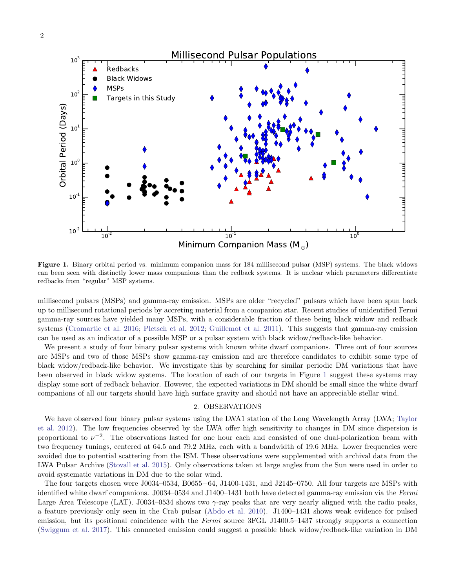

<span id="page-1-0"></span>Figure 1. Binary orbital period vs. minimum companion mass for 184 millisecond pulsar (MSP) systems. The black widows can been seen with distinctly lower mass companions than the redback systems. It is unclear which parameters differentiate redbacks from "regular" MSP systems.

millisecond pulsars (MSPs) and gamma-ray emission. MSPs are older "recycled" pulsars which have been spun back up to millisecond rotational periods by accreting material from a companion star. Recent studies of unidentified Fermi gamma-ray sources have yielded many MSPs, with a considerable fraction of these being black widow and redback systems [\(Cromartie et al.](#page-6-3) [2016;](#page-6-3) [Pletsch et al.](#page-6-4) [2012;](#page-6-4) [Guillemot et al.](#page-6-5) [2011\)](#page-6-5). This suggests that gamma-ray emission can be used as an indicator of a possible MSP or a pulsar system with black widow/redback-like behavior.

We present a study of four binary pulsar systems with known white dwarf companions. Three out of four sources are MSPs and two of those MSPs show gamma-ray emission and are therefore candidates to exhibit some type of black widow/redback-like behavior. We investigate this by searching for similar periodic DM variations that have been observed in black widow systems. The location of each of our targets in Figure [1](#page-1-0) suggest these systems may display some sort of redback behavior. However, the expected variations in DM should be small since the white dwarf companions of all our targets should have high surface gravity and should not have an appreciable stellar wind.

## 2. OBSERVATIONS

We have observed four binary pulsar systems using the LWA1 station of the Long Wavelength Array (LWA; [Taylor](#page-6-6) [et al.](#page-6-6) [2012\)](#page-6-6). The low frequencies observed by the LWA offer high sensitivity to changes in DM since dispersion is proportional to  $\nu^{-2}$ . The observations lasted for one hour each and consisted of one dual-polarization beam with two frequency tunings, centered at 64.5 and 79.2 MHz, each with a bandwidth of 19.6 MHz. Lower frequencies were avoided due to potential scattering from the ISM. These observations were supplemented with archival data from the LWA Pulsar Archive [\(Stovall et al.](#page-6-7) [2015\)](#page-6-7). Only observations taken at large angles from the Sun were used in order to avoid systematic variations in DM due to the solar wind.

The four targets chosen were J0034–0534, B0655+64, J1400-1431, and J2145–0750. All four targets are MSPs with identified white dwarf companions. J0034–0534 and J1400–1431 both have detected gamma-ray emission via the Fermi Large Area Telescope (LAT). J0034–0534 shows two γ-ray peaks that are very nearly aligned with the radio peaks, a feature previously only seen in the Crab pulsar [\(Abdo et al.](#page-6-8) [2010\)](#page-6-8). J1400–1431 shows weak evidence for pulsed emission, but its positional coincidence with the Fermi source 3FGL J1400.5–1437 strongly supports a connection [\(Swiggum et al.](#page-6-9) [2017\)](#page-6-9). This connected emission could suggest a possible black widow/redback-like variation in DM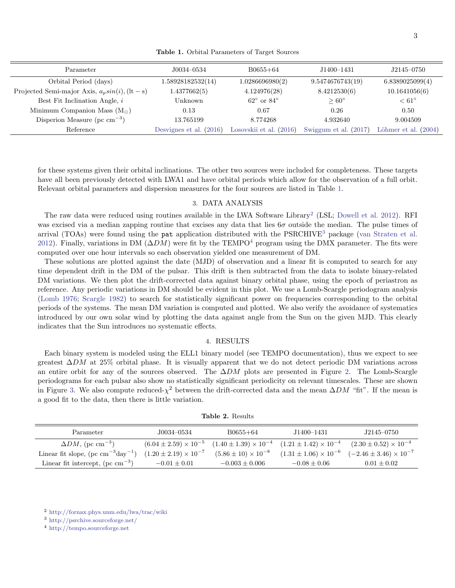<span id="page-2-0"></span>Table 1. Orbital Parameters of Target Sources

| Parameter                                          | $J0034 - 0534$            | $B0655 + 64$                 | J1400-1431            | J2145–0750             |
|----------------------------------------------------|---------------------------|------------------------------|-----------------------|------------------------|
| Orbital Period (days)                              | 1.58928182532(14)         | 1.0286696980(2)              | 9.5474676743(19)      | 6.8389025099(4)        |
| Projected Semi-major Axis, $a_p sin(i)$ , (lt – s) | 1.4377662(5)              | 4.124976(28)                 | 8.4212530(6)          | 10.1641056(6)          |
| Best Fit Inclination Angle, $i$                    | Unknown                   | $62^{\circ}$ or $84^{\circ}$ | $\geq 60^{\circ}$     | $< 61^{\circ}$         |
| Minimum Companion Mass $(M_{\odot})$               | 0.13                      | 0.67                         | 0.26                  | 0.50                   |
| Disperion Measure (pc $\rm cm^{-3}$ )              | 13.765199                 | 8.774268                     | 4.932640              | 9.004509               |
| Reference                                          | Desvignes et al. $(2016)$ | Losovskii et al. $(2016)$    | Swiggum et al. (2017) | Löhmer et al. $(2004)$ |

for these systems given their orbital inclinations. The other two sources were included for completeness. These targets have all been previously detected with LWA1 and have orbital periods which allow for the observation of a full orbit. Relevant orbital parameters and dispersion measures for the four sources are listed in Table [1.](#page-2-0)

## 3. DATA ANALYSIS

The raw data were reduced using routines available in the LWA Software Library<sup>[2](#page-2-1)</sup> (LSL; [Dowell et al.](#page-6-13) [2012\)](#page-6-13). RFI was excised via a median zapping routine that excises any data that lies  $6\sigma$  outside the median. The pulse times of arrival (TOAs) were found using the pat application distributed with the PSRCHIVE[3](#page-2-2) package [\(van Straten et al.](#page-6-14) [2012\)](#page-6-14). Finally, variations in DM  $(\Delta DM)$  were fit by the TEMPO<sup>[4](#page-2-3)</sup> program using the DMX parameter. The fits were computed over one hour intervals so each observation yielded one measurement of DM.

These solutions are plotted against the date (MJD) of observation and a linear fit is computed to search for any time dependent drift in the DM of the pulsar. This drift is then subtracted from the data to isolate binary-related DM variations. We then plot the drift-corrected data against binary orbital phase, using the epoch of periastron as reference. Any periodic variations in DM should be evident in this plot. We use a Lomb-Scargle periodogram analysis [\(Lomb](#page-6-15) [1976;](#page-6-15) [Scargle](#page-6-16) [1982\)](#page-6-16) to search for statistically significant power on frequencies corresponding to the orbital periods of the systems. The mean DM variation is computed and plotted. We also verify the avoidance of systematics introduced by our own solar wind by plotting the data against angle from the Sun on the given MJD. This clearly indicates that the Sun introduces no systematic effects.

### 4. RESULTS

Each binary system is modeled using the ELL1 binary model (see TEMPO documentation), thus we expect to see greatest  $\Delta DM$  at 25% orbital phase. It is visually apparent that we do not detect periodic DM variations across an entire orbit for any of the sources observed. The  $\Delta DM$  plots are presented in Figure [2.](#page-3-0) The Lomb-Scargle periodograms for each pulsar also show no statistically significant periodicity on relevant timescales. These are shown in Figure [3.](#page-4-0) We also compute reduced- $\chi^2$  between the drift-corrected data and the mean  $\Delta DM$  "fit". If the mean is a good fit to the data, then there is little variation.

| Parameter                                               | J0034–0534                       | $B0655 + 64$                                                      | J1400–1431                       | J2145–0750                        |
|---------------------------------------------------------|----------------------------------|-------------------------------------------------------------------|----------------------------------|-----------------------------------|
| $\Delta DM$ , (pc cm <sup>-3</sup> )                    | $(6.04 \pm 2.59) \times 10^{-5}$ | $(1.40 \pm 1.39) \times 10^{-4}$ $(1.21 \pm 1.42) \times 10^{-4}$ |                                  | $(2.30 \pm 0.52) \times 10^{-4}$  |
| Linear fit slope, $(\text{pc cm}^{-3} \text{day}^{-1})$ | $(1.20 \pm 2.19) \times 10^{-7}$ | $(5.86 \pm 10) \times 10^{-8}$                                    | $(1.31 \pm 1.06) \times 10^{-6}$ | $(-2.46 \pm 3.46) \times 10^{-7}$ |
| Linear fit intercept, $(\text{pc cm}^{-3})$             | $-0.01 + 0.01$                   | $-0.003 \pm 0.006$                                                | $-0.08 \pm 0.06$                 | $0.01 + 0.02$                     |
|                                                         |                                  |                                                                   |                                  |                                   |

<span id="page-2-4"></span>Table 2. Results

<span id="page-2-1"></span><sup>2</sup> <http://fornax.phys.unm.edu/lwa/trac/wiki>

<span id="page-2-2"></span><sup>3</sup> <http://psrchive.sourceforge.net/>

<span id="page-2-3"></span><sup>4</sup> <http://tempo.sourceforge.net>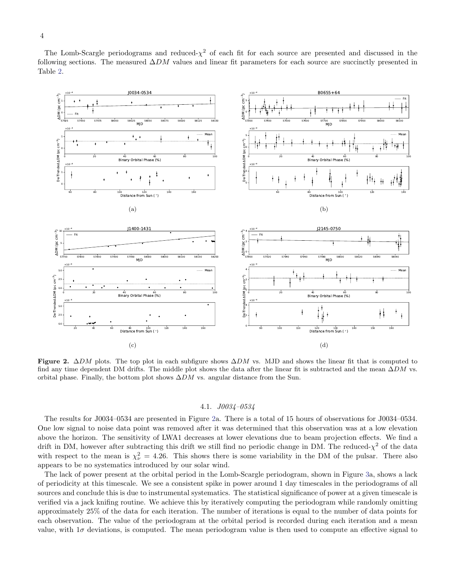4



<span id="page-3-0"></span>Figure 2.  $\Delta DM$  plots. The top plot in each subfigure shows  $\Delta DM$  vs. MJD and shows the linear fit that is computed to find any time dependent DM drifts. The middle plot shows the data after the linear fit is subtracted and the mean  $\Delta DM$  vs. orbital phase. Finally, the bottom plot shows  $\Delta DM$  vs. angular distance from the Sun.

## 4.1. J0034–0534

The results for J0034–0534 are presented in Figure [2a](#page-3-0). There is a total of 15 hours of observations for J0034–0534. One low signal to noise data point was removed after it was determined that this observation was at a low elevation above the horizon. The sensitivity of LWA1 decreases at lower elevations due to beam projection effects. We find a drift in DM, however after subtracting this drift we still find no periodic change in DM. The reduced- $\chi^2$  of the data with respect to the mean is  $\chi^2_{\nu} = 4.26$ . This shows there is some variability in the DM of the pulsar. There also appears to be no systematics introduced by our solar wind.

The lack of power present at the orbital period in the Lomb-Scargle periodogram, shown in Figure [3a](#page-4-0), shows a lack of periodicity at this timescale. We see a consistent spike in power around 1 day timescales in the periodograms of all sources and conclude this is due to instrumental systematics. The statistical significance of power at a given timescale is verified via a jack knifing routine. We achieve this by iteratively computing the periodogram while randomly omitting approximately 25% of the data for each iteration. The number of iterations is equal to the number of data points for each observation. The value of the periodogram at the orbital period is recorded during each iteration and a mean value, with  $1\sigma$  deviations, is computed. The mean periodogram value is then used to compute an effective signal to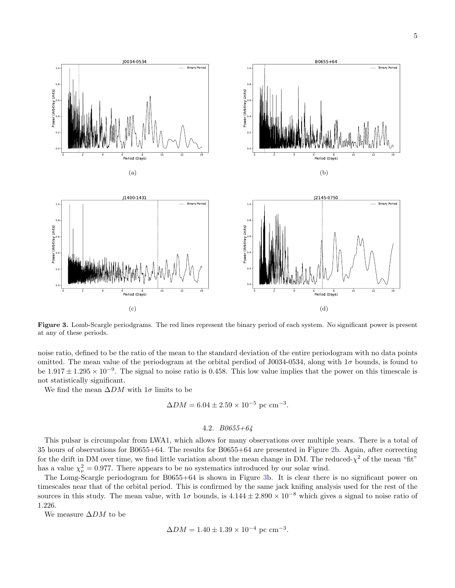

<span id="page-4-0"></span>Figure 3. Lomb-Scargle periodgrams. The red lines represent the binary period of each system. No significant power is present at any of these periods.

noise ratio, defined to be the ratio of the mean to the standard deviation of the entire periodogram with no data points omitted. The mean value of the periodogram at the orbital perdiod of J0034-0534, along with  $1\sigma$  bounds, is found to be  $1.917 \pm 1.295 \times 10^{-9}$ . The signal to noise ratio is 0.458. This low value implies that the power on this timescale is not statistically significant.

We find the mean  $\Delta DM$  with 1 $\sigma$  limits to be

$$
\Delta DM = 6.04 \pm 2.59 \times 10^{-5} \text{ pc cm}^{-3}.
$$

# 4.2. B0655+64

This pulsar is circumpolar from LWA1, which allows for many observations over multiple years. There is a total of 35 hours of observations for B0655+64. The results for B0655+64 are presented in Figure [2b](#page-3-0). Again, after correcting for the drift in DM over time, we find little variation about the mean change in DM. The reduced- $\chi^2$  of the mean "fit" has a value  $\chi^2_{\nu} = 0.977$ . There appears to be no systematics introduced by our solar wind.

The Lomg-Scargle periodogram for B0655+64 is shown in Figure [3b](#page-4-0). It is clear there is no significant power on timescales near that of the orbital period. This is confirmed by the same jack knifing analysis used for the rest of the sources in this study. The mean value, with  $1\sigma$  bounds, is  $4.144 \pm 2.890 \times 10^{-8}$  which gives a signal to noise ratio of 1.226.

We measure  $\Delta DM$  to be

$$
\Delta DM = 1.40 \pm 1.39 \times 10^{-4} \text{ pc cm}^{-3}.
$$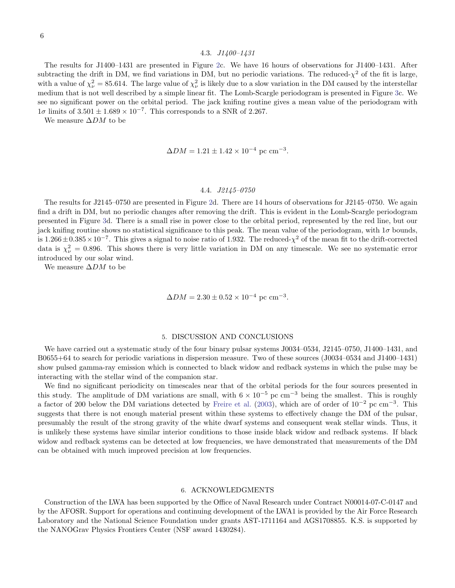# 4.3. J1400–1431

The results for J1400–1431 are presented in Figure [2c](#page-3-0). We have 16 hours of observations for J1400–1431. After subtracting the drift in DM, we find variations in DM, but no periodic variations. The reduced- $\chi^2$  of the fit is large, with a value of  $\chi^2_{\nu} = 85.614$ . The large value of  $\chi^2_{\nu}$  is likely due to a slow variation in the DM caused by the interstellar medium that is not well described by a simple linear fit. The Lomb-Scargle periodogram is presented in Figure [3c](#page-4-0). We see no significant power on the orbital period. The jack knifing routine gives a mean value of the periodogram with  $1\sigma$  limits of  $3.501 \pm 1.689 \times 10^{-7}$ . This corresponds to a SNR of 2.267.

We measure  $\Delta DM$  to be

$$
\Delta DM = 1.21 \pm 1.42 \times 10^{-4}
$$
 pc cm<sup>-3</sup>.

### 4.4. J2145–0750

The results for J2145–0750 are presented in Figure [2d](#page-3-0). There are 14 hours of observations for J2145–0750. We again find a drift in DM, but no periodic changes after removing the drift. This is evident in the Lomb-Scargle periodogram presented in Figure [3d](#page-4-0). There is a small rise in power close to the orbital period, represented by the red line, but our jack knifing routine shows no statistical significance to this peak. The mean value of the periodogram, with  $1\sigma$  bounds, is  $1.266 \pm 0.385 \times 10^{-7}$ . This gives a signal to noise ratio of 1.932. The reduced- $\chi^2$  of the mean fit to the drift-corrected data is  $\chi^2_{\nu} = 0.896$ . This shows there is very little variation in DM on any timescale. We see no systematic error introduced by our solar wind.

We measure  $\Delta DM$  to be

 $\Delta DM = 2.30 \pm 0.52 \times 10^{-4}$  pc cm<sup>-3</sup>.

#### 5. DISCUSSION AND CONCLUSIONS

We have carried out a systematic study of the four binary pulsar systems J0034–0534, J2145–0750, J1400–1431, and B0655+64 to search for periodic variations in dispersion measure. Two of these sources (J0034–0534 and J1400–1431) show pulsed gamma-ray emission which is connected to black widow and redback systems in which the pulse may be interacting with the stellar wind of the companion star.

We find no significant periodicity on timescales near that of the orbital periods for the four sources presented in this study. The amplitude of DM variations are small, with  $6 \times 10^{-5}$  pc cm<sup>-3</sup> being the smallest. This is roughly a factor of 200 below the DM variations detected by [Freire et al.](#page-6-0) [\(2003\)](#page-6-0), which are of order of  $10^{-2}$  pc cm<sup>-3</sup>. This suggests that there is not enough material present within these systems to effectively change the DM of the pulsar, presumably the result of the strong gravity of the white dwarf systems and consequent weak stellar winds. Thus, it is unlikely these systems have similar interior conditions to those inside black widow and redback systems. If black widow and redback systems can be detected at low frequencies, we have demonstrated that measurements of the DM can be obtained with much improved precision at low frequencies.

### 6. ACKNOWLEDGMENTS

Construction of the LWA has been supported by the Office of Naval Research under Contract N00014-07-C-0147 and by the AFOSR. Support for operations and continuing development of the LWA1 is provided by the Air Force Research Laboratory and the National Science Foundation under grants AST-1711164 and AGS1708855. K.S. is supported by the NANOGrav Physics Frontiers Center (NSF award 1430284).